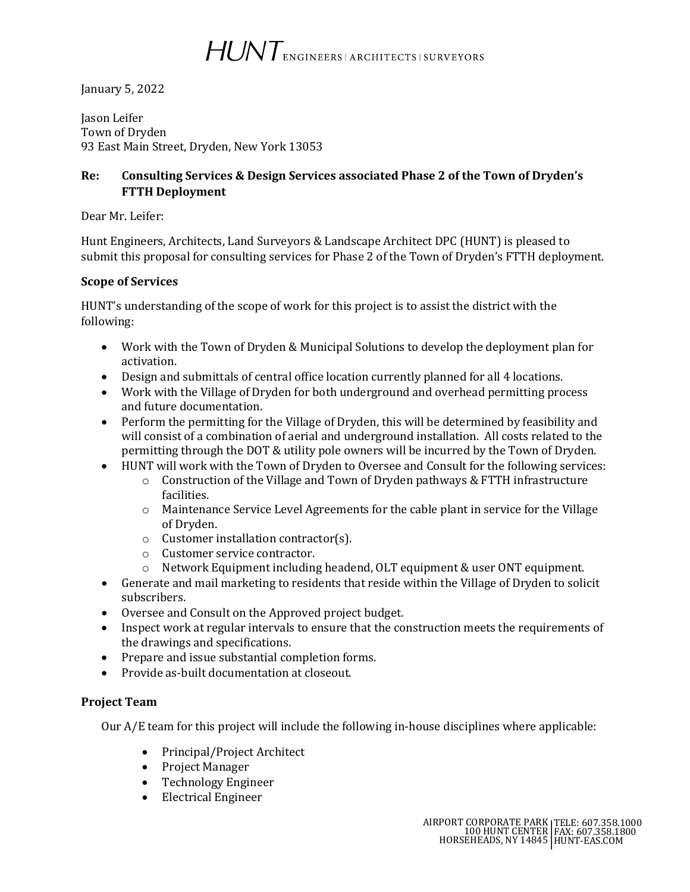HUNT ENGINEERS | ARCHITECTS | SURVEYORS

January 5, 2022

Jason Leifer Town of Dryden 93 East Main Street, Dryden, New York 13053

## **Re: Consulting Services & Design Services associated Phase 2 of the Town of Dryden's FTTH Deployment**

Dear Mr. Leifer:

Hunt Engineers, Architects, Land Surveyors & Landscape Architect DPC (HUNT) is pleased to submit this proposal for consulting services for Phase 2 of the Town of Dryden's FTTH deployment.

## **Scope of Services**

HUNT's understanding of the scope of work for this project is to assist the district with the following:

- Work with the Town of Dryden & Municipal Solutions to develop the deployment plan for activation.
- Design and submittals of central office location currently planned for all 4 locations.
- Work with the Village of Dryden for both underground and overhead permitting process and future documentation.
- Perform the permitting for the Village of Dryden, this will be determined by feasibility and will consist of a combination of aerial and underground installation. All costs related to the permitting through the DOT & utility pole owners will be incurred by the Town of Dryden.
- HUNT will work with the Town of Dryden to Oversee and Consult for the following services:
	- $\circ$  Construction of the Village and Town of Dryden pathways & FTTH infrastructure facilities.
	- o Maintenance Service Level Agreements for the cable plant in service for the Village of Dryden.
	- o Customer installation contractor(s).
	- o Customer service contractor.
	- o Network Equipment including headend, OLT equipment & user ONT equipment.
- Generate and mail marketing to residents that reside within the Village of Dryden to solicit subscribers.
- Oversee and Consult on the Approved project budget.
- Inspect work at regular intervals to ensure that the construction meets the requirements of the drawings and specifications.
- Prepare and issue substantial completion forms.
- Provide as-built documentation at closeout.

## **Project Team**

Our A/E team for this project will include the following in-house disciplines where applicable:

- Principal/Project Architect
- Project Manager
- Technology Engineer
- Electrical Engineer